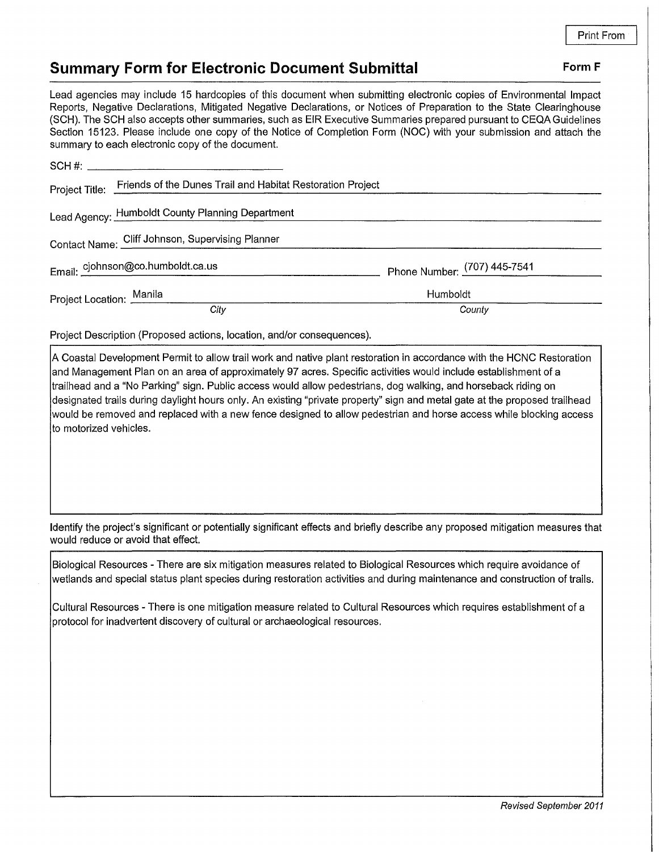## **Summary Form for Electronic Document Submittal Form F Form F**

Lead agencies may include 15 hardcopies of this document when submitting electronic copies of Environmental Impact Reports, Negative Declarations, Mitigated Negative Declarations, or Notices of Preparation to the State Clearinghouse (SCH). The SCH also accepts other summaries, such as EIR Executive Summaries prepared pursuant to CEQA Guidelines Section 15123. Please include one copy of the Notice of Completion Form (NOC) with your submission and attach the summary to each electronic copy of the document.

| Project Title: Friends of the Dunes Trail and Habitat Restoration Project |                              |
|---------------------------------------------------------------------------|------------------------------|
| Lead Agency: Humboldt County Planning Department                          |                              |
| Contact Name: Cliff Johnson, Supervising Planner                          |                              |
| Email: cjohnson@co.humboldt.ca.us                                         | Phone Number: (707) 445-7541 |
| Project Location: Manila                                                  | Humboldt                     |
| City                                                                      | County                       |

Project Description (Proposed actions, location, and/or consequences).

A Coastal Development Permit to allow trail work and native plant restoration in accordance with the HCNC Restoration and Management Plan on an area of approximately 97 acres. Specific activities would include establishment of a trailhead and a "No Parking" sign. Public access would allow pedestrians, dog walking, and horseback riding on designated trails during daylight hours only. An existing "private property" sign and metal gate at the proposed trailhead would be removed and replaced with a new fence designed to allow pedestrian and horse access while blocking access to motorized vehicles.

Identify the project's significant or potentially significant effects and briefly describe any proposed mitigation measures that would reduce or avoid that effect.

Biological Resources - There are six mitigation measures related to Biological Resources which require avoidance of wetlands and special status plant species during restoration activities and during maintenance and construction of trails.

Cultural Resources - There is one mitigation measure related to Cultural Resources which requires establishment of a protocol for inadvertent discovery of cultural or archaeological resources.